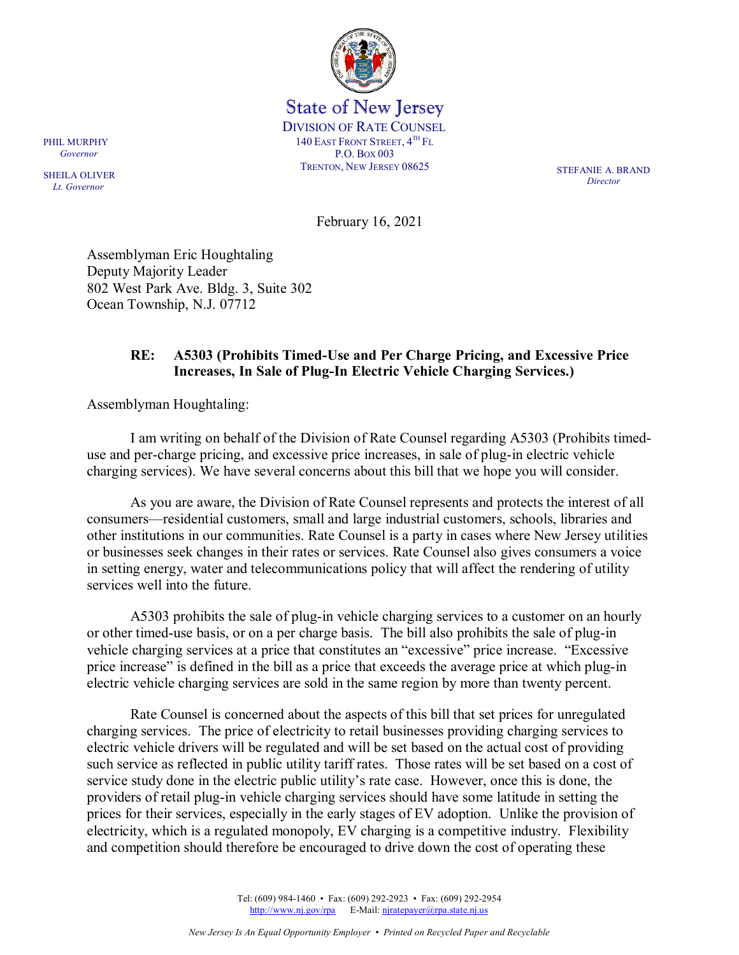

State of New Jersey DIVISION OF RATE COUNSEL 140 EAST FRONT STREET,  $4^{TH}$  Fl P.O. BOX 003 TRENTON, NEW JERSEY 08625 STEFANIE A. BRAND

*Director*

February 16, 2021

Assemblyman Eric Houghtaling Deputy Majority Leader 802 West Park Ave. Bldg. 3, Suite 302 Ocean Township, N.J. 07712

## **RE: A5303 (Prohibits Timed-Use and Per Charge Pricing, and Excessive Price Increases, In Sale of Plug-In Electric Vehicle Charging Services.)**

Assemblyman Houghtaling:

I am writing on behalf of the Division of Rate Counsel regarding A5303 (Prohibits timeduse and per-charge pricing, and excessive price increases, in sale of plug-in electric vehicle charging services). We have several concerns about this bill that we hope you will consider.

As you are aware, the Division of Rate Counsel represents and protects the interest of all consumers—residential customers, small and large industrial customers, schools, libraries and other institutions in our communities. Rate Counsel is a party in cases where New Jersey utilities or businesses seek changes in their rates or services. Rate Counsel also gives consumers a voice in setting energy, water and telecommunications policy that will affect the rendering of utility services well into the future.

A5303 prohibits the sale of plug-in vehicle charging services to a customer on an hourly or other timed-use basis, or on a per charge basis. The bill also prohibits the sale of plug-in vehicle charging services at a price that constitutes an "excessive" price increase. "Excessive price increase" is defined in the bill as a price that exceeds the average price at which plug-in electric vehicle charging services are sold in the same region by more than twenty percent.

Rate Counsel is concerned about the aspects of this bill that set prices for unregulated charging services. The price of electricity to retail businesses providing charging services to electric vehicle drivers will be regulated and will be set based on the actual cost of providing such service as reflected in public utility tariff rates. Those rates will be set based on a cost of service study done in the electric public utility's rate case. However, once this is done, the providers of retail plug-in vehicle charging services should have some latitude in setting the prices for their services, especially in the early stages of EV adoption. Unlike the provision of electricity, which is a regulated monopoly, EV charging is a competitive industry. Flexibility and competition should therefore be encouraged to drive down the cost of operating these

> Tel: (609) 984-1460 • Fax: (609) 292-2923 • Fax: (609) 292-2954 [http://www.nj.gov/rpa](http://www.state.nj.us/publicadvocate/utility) E-Mail: [njratepayer@rpa.state.nj.us](mailto:njratepayer@rpa.state.nj.us)

SHEILA OLIVER  *Lt. Governor*